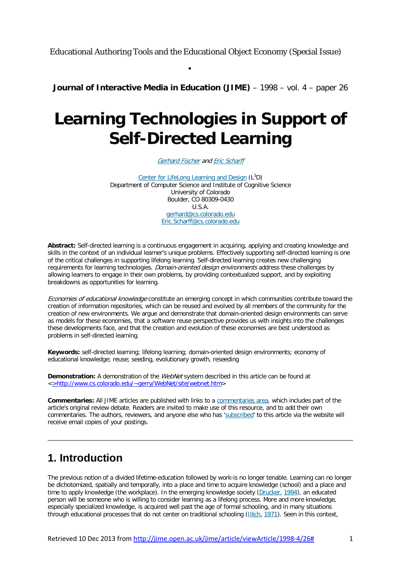Educational Authoring Tools and the Educational Object Economy (Special Issue)

•

**Journal of Interactive Media in Education (JIME)** – 1998 – vol. 4 – paper 26

# **Learning Technologies in Support of Self-Directed Learning**

[Gerhard](http://www.cs.colorado.edu/~gerhard) Fischer and Eric [Scharff](http://rtt.colorado.edu/~scharffe)

Center for LifeLong [Learning](http://www.cs.colorado.edu/~l3d) and Design (L<sup>3</sup>D) Department of Computer Science and Institute of Cognitive Science University of Colorado Boulder, CO 80309-0430 U.S.A. [gerhard@cs.colorado.edu](mailto:gerhard@cs.colorado.edu) [Eric.Scharff@cs.colorado.edu](mailto:Eric.Scharff@cs.colorado.edu)

**Abstract:** Self-directed learning is a continuous engagement in acquiring, applying and creating knowledge and skills in the context of an individual learner's unique problems. Effectively supporting self-directed learning is one of the critical challenges in supporting lifelong learning. Self-directed learning creates new challenging requirements for learning technologies. Domain-oriented design environments address these challenges by allowing learners to engage in their own problems, by providing contextualized support, and by exploiting breakdowns as opportunities for learning.

Economies of educational knowledge constitute an emerging concept in which communities contribute toward the creation of information repositories, which can be reused and evolved by all members of the community for the creation of new environments. We argue and demonstrate that domain-oriented design environments can serve as models for these economies, that a software reuse perspective provides us with insights into the challenges these developments face, and that the creation and evolution of these economies are best understood as problems in self-directed learning.

**Keywords:** self-directed learning; lifelong learning; domain-oriented design environments; economy of educational knowledge; reuse; seeding, evolutionary growth, reseeding

**Demonstration:** A demonstration of the WebNet system described in this article can be found at <>http://www.cs.colorado.edu/~gerry/WebNet/site/webnet.htm>

**Commentaries:** All JIME articles are published with links to a [commentaries](http://www-jime.open.ac.uk/Reviews/get/fischer-98-4-reviews.html) area, which includes part of the article's original review debate. Readers are invited to make use of this resource, and to add their own commentaries. The authors, reviewers, and anyone else who has ['subscribed'](http://www-jime.open.ac.uk/Reviews/edit-subscribe.pl/fischer-98-4-reviews.html) to this article via the website will receive email copies of your postings.

# **1. Introduction**

The previous notion of a divided lifetime-education followed by work-is no longer tenable. Learning can no longer be dichotomized, spatially and temporally, into a place and time to acquire knowledge (school) and a place and time to apply knowledge (the workplace). In the emerging knowledge society [\(Drucker,](http://jime.open.ac.uk/jime/article/viewArticle/1998-4/26#DRUCKER(1994)) 1994), an educated person will be someone who is willing to consider learning as a lifelong process. More and more knowledge, especially specialized knowledge, is acquired well past the age of formal schooling, and in many situations through educational processes that do not center on traditional schooling [\(Illich,](http://jime.open.ac.uk/jime/article/viewArticle/1998-4/26#ILLICH(1971)) 1971). Seen in this context,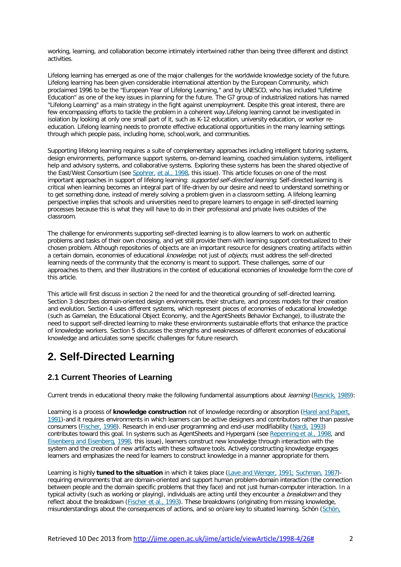working, learning, and collaboration become intimately intertwined rather than being three different and distinct activities.

Lifelong learning has emerged as one of the major challenges for the worldwide knowledge society of the future. Lifelong learning has been given considerable international attention by the European Community, which proclaimed 1996 to be the "European Year of Lifelong Learning," and by UNESCO, who has included "Lifetime Education" as one of the key issues in planning for the future. The G7 group of industrialized nations has named "Lifelong Learning" as a main strategy in the fight against unemployment. Despite this great interest, there are few encompassing efforts to tackle the problem in a coherent way.Lifelong learning cannot be investigated in isolation by looking at only one small part of it, such as K-12 education, university education, or worker reeducation. Lifelong learning needs to promote effective educational opportunities in the many learning settings through which people pass, including home, school,work, and communities.

Supporting lifelong learning requires a suite of complementary approaches including intelligent tutoring systems, design environments, performance support systems, on-demand learning, coached simulation systems, intelligent help and advisory systems, and collaborative systems. Exploring these systems has been the shared objective of the East/West Consortium (see [Spohrer,](http://jime.open.ac.uk/jime/article/viewArticle/1998-4/26#SPOHRER+SUMNER+BUCKINGHAM+SHUM(1998)) et al., 1998, this issue). This article focuses on one of the most important approaches in support of lifelong learning: supported self-directed learning. Self-directed learning is critical when learning becomes an integral part of life-driven by our desire and need to understand something or to get something done, instead of merely solving a problem given in a classroom setting. A lifelong learning perspective implies that schools and universities need to prepare learners to engage in self-directed learning processes because this is what they will have to do in their professional and private lives outsides of the classroom.

The challenge for environments supporting self-directed learning is to allow learners to work on authentic problems and tasks of their own choosing, and yet still provide them with learning support contextualized to their chosen problem. Although repositories of objects are an important resource for designers creating artifacts within a certain domain, economies of educational *knowledge*, not just of *objects*, must address the self-directed learning needs of the community that the economy is meant to support. These challenges, some of our approaches to them, and their illustrations in the context of educational economies of knowledge form the core of this article.

This article will first discuss in section 2 the need for and the theoretical grounding of self-directed learning. Section 3 describes domain-oriented design environments, their structure, and process models for their creation and evolution. Section 4 uses different systems, which represent pieces of economies of educational knowledge (such as Gamelan, the Educational Object Economy, and the AgentSheets Behavior Exchange), to illustrate the need to support self-directed learning to make these environments sustainable efforts that enhance the practice of knowledge workers. Section 5 discusses the strengths and weaknesses of different economies of educational knowledge and articulates some specific challenges for future research.

# **2. Self-Directed Learning**

### **2.1 Current Theories of Learning**

Current trends in educational theory make the following fundamental assumptions about *learning* [\(Resnick,](http://jime.open.ac.uk/jime/article/viewArticle/1998-4/26#RESNICK(1989)) 1989):

Learning is a process of **knowledge construction** not of knowledge recording or absorption (Harel and [Papert,](http://jime.open.ac.uk/jime/article/viewArticle/1998-4/26#HAREL+PAPERT(1991)) [1991\)](http://jime.open.ac.uk/jime/article/viewArticle/1998-4/26#HAREL+PAPERT(1991))-and it requires environments in which learners can be active designers and contributors rather than passive consumers [\(Fischer,](http://jime.open.ac.uk/jime/article/viewArticle/1998-4/26#FISCHER(1998)) 1998). Research in end-user programming and end-user modifiability [\(Nardi,](http://jime.open.ac.uk/jime/article/viewArticle/1998-4/26#NARDI(1993)) 1993) contributes toward this goal. In systems such as AgentSheets and Hypergami (see [Repenning](http://jime.open.ac.uk/jime/article/viewArticle/1998-4/26#REPENNING+IOANNIDOU+AMBACH(1998)) et al., 1998, and Eisenberg and [Eisenberg,](http://jime.open.ac.uk/jime/article/viewArticle/1998-4/26#EISENBERG+EISENBERG(1998)) 1998, this issue), learners construct new knowledge through interaction with the system and the creation of new artifacts with these software tools. Actively constructing knowledge engages learners and emphasizes the need for learners to construct knowledge in a manner appropriate for them.

Learning is highly **tuned to the situation** in which it takes place (Lave and [Wenger,](http://jime.open.ac.uk/jime/article/viewArticle/1998-4/26#LAVE+WENGER(1991)) 1991; [Suchman,](http://jime.open.ac.uk/jime/article/viewArticle/1998-4/26#LAVE+WENGER(1991)) 1987) requiring environments that are domain-oriented and support human problem-domain interaction (the connection between people and the domain specific problems that they face) and not just human-computer interaction. In a typical activity (such as working or playing), individuals are acting until they encounter a breakdown and they reflect about the breakdown [\(Fischer](http://jime.open.ac.uk/jime/article/viewArticle/1998-4/26#FISCHER+NAKAKOJI+OSTWALD+STAHL+SUMNER(1993)) et al., 1993). These breakdowns (originating from missing knowledge, misunderstandings about the consequences of actions, and so on)are key to situated learning. Schön [\(Schön,](http://jime.open.ac.uk/jime/article/viewArticle/1998-4/26#SCHOEN(1983))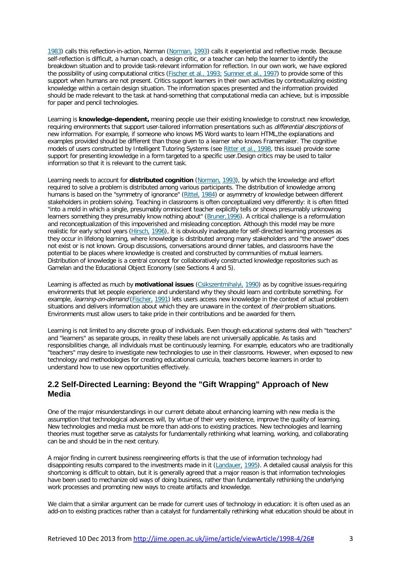1983) calls this reflection-in-action, Norman [\(Norman,](http://jime.open.ac.uk/jime/article/viewArticle/1998-4/26#NORMAN(1993)) 1993) calls it experiential and reflective mode. Because self-reflection is difficult, a human coach, a design critic, or a teacher can help the learner to identify the breakdown situation and to provide task-relevant information for reflection. In our own work, we have explored the possibility of using computational critics [\(Fischer](http://jime.open.ac.uk/jime/article/viewArticle/1998-4/26#FISCHER+NAKAKOJI+OSTWALD+STAHL+SUMNER(1993)) et al., 1993; [Sumner](http://jime.open.ac.uk/jime/article/viewArticle/1998-4/26#FISCHER+NAKAKOJI+OSTWALD+STAHL+SUMNER(1993)) et al., 1997) to provide some of this support when humans are not present. Critics support learners in their own activities by contextualizing existing knowledge within a certain design situation. The information spaces presented and the information provided should be made relevant to the task at hand-something that computational media can achieve, but is impossible for paper and pencil technologies.

Learning is **knowledge-dependent,** meaning people use their existing knowledge to construct new knowledge, requiring environments that support user-tailored information presentations such as *differential descriptions* of new information. For example, if someone who knows MS Word wants to learn HTML,the explanations and examples provided should be different than those given to a learner who knows Framemaker. The cognitive models of users constructed by Intelligent Tutoring Systems (see [Ritter](http://jime.open.ac.uk/jime/article/viewArticle/1998-4/26#RITTER+ANDERSON+MEDVEDEVA+CYTRYNOWITZ(1998)) et al., 1998, this issue) provide some support for presenting knowledge in a form targeted to a specific user.Design critics may be used to tailor information so that it is relevant to the current task.

Learning needs to account for **distributed cognition** [\(Norman,](http://jime.open.ac.uk/jime/article/viewArticle/1998-4/26#NORMAN(1993)) 1993), by which the knowledge and effort required to solve a problem is distributed among various participants. The distribution of knowledge among humans is based on the "symmetry of ignorance" [\(Rittel,](http://jime.open.ac.uk/jime/article/viewArticle/1998-4/26#RITTEL(1984)) 1984) or asymmetry of knowledge between different stakeholders in problem solving. Teaching in classrooms is often conceptualized very differently: it is often fitted "into a mold in which a single, presumably omniscient teacher explicitly tells or shows presumably unknowing learners something they presumably know nothing about" (Bruner, 1996). A critical challenge is a reformulation and reconceptualization of this impoverished and misleading conception. Although this model may be more realistic for early school years [\(Hirsch,](http://jime.open.ac.uk/jime/article/viewArticle/1998-4/26#HIRSCH(1996)) 1996), it is obviously inadequate for self-directed learning processes as they occur in lifelong learning, where knowledge is distributed among many stakeholders and "the answer" does not exist or is not known. Group discussions, conversations around dinner tables, and classrooms have the potential to be places where knowledge is created and constructed by communities of mutual learners. Distribution of knowledge is a central concept for collaboratively constructed knowledge repositories such as Gamelan and the Educational Object Economy (see Sections 4 and 5).

Learning is affected as much by **motivational issues** [\(Csikszentmihalyi,](http://jime.open.ac.uk/jime/article/viewArticle/1998-4/26#CSIKSZENTMIHALYI(1990)) 1990) as by cognitive issues-requiring environments that let people experience and understand why they should learn and contribute something. For example, learning-on-demand [\(Fischer,](http://jime.open.ac.uk/jime/article/viewArticle/1998-4/26#FISCHER(1991)) 1991) lets users access new knowledge in the context of actual problem situations and delivers information about which they are unaware in the context of *their* problem situations. Environments must allow users to take pride in their contributions and be awarded for them.

Learning is not limited to any discrete group of individuals. Even though educational systems deal with "teachers" and "learners" as separate groups, in reality these labels are not universally applicable. As tasks and responsibilities change, all individuals must be continuously learning. For example, educators who are traditionally "teachers" may desire to investigate new technologies to use in their classrooms. However, when exposed to new technology and methodologies for creating educational curricula, teachers become learners in order to understand how to use new opportunities effectively.

#### **2.2 Self-Directed Learning: Beyond the "Gift Wrapping" Approach of New Media**

One of the major misunderstandings in our current debate about enhancing learning with new media is the assumption that technological advances will, by virtue of their very existence, improve the quality of learning. New technologies and media must be more than add-ons to existing practices. New technologies and learning theories must together serve as catalysts for fundamentally rethinking what learning, working, and collaborating can be and should be in the next century.

A major finding in current business reengineering efforts is that the use of information technology had disappointing results compared to the investments made in it [\(Landauer,](http://jime.open.ac.uk/jime/article/viewArticle/1998-4/26#LANDAUER(1995)) 1995). A detailed causal analysis for this shortcoming is difficult to obtain, but it is generally agreed that a major reason is that information technologies have been used to mechanize old ways of doing business, rather than fundamentally rethinking the underlying work processes and promoting new ways to create artifacts and knowledge.

We claim that a similar argument can be made for current uses of technology in education: it is often used as an add-on to existing practices rather than a catalyst for fundamentally rethinking what education should be about in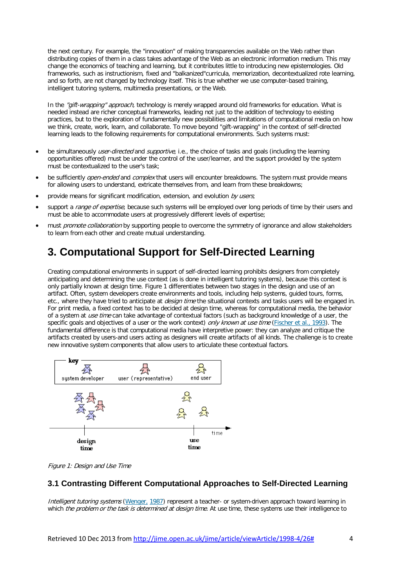the next century. For example, the "innovation" of making transparencies available on the Web rather than distributing copies of them in a class takes advantage of the Web as an electronic information medium. This may change the economics of teaching and learning, but it contributes little to introducing new epistemologies. Old frameworks, such as instructionism, fixed and "balkanized"curricula, memorization, decontextualized rote learning, and so forth, are not changed by technology itself. This is true whether we use computer-based training, intelligent tutoring systems, multimedia presentations, or the Web.

In the "gift-wrapping" approach, technology is merely wrapped around old frameworks for education. What is needed instead are richer conceptual frameworks, leading not just to the addition of technology to existing practices, but to the exploration of fundamentally new possibilities and limitations of computational media on how we think, create, work, learn, and collaborate. To move beyond "gift-wrapping" in the context of self-directed learning leads to the following requirements for computational environments. Such systems must:

- be simultaneously *user-directed* and *supportive*, i.e., the choice of tasks and goals (including the learning opportunities offered) must be under the control of the user/learner, and the support provided by the system must be contextualized to the user's task;
- be sufficiently *open-ended* and *complex* that users will encounter breakdowns. The system must provide means for allowing users to understand, extricate themselves from, and learn from these breakdowns;
- provide means for significant modification, extension, and evolution by users;
- support a range of expertise, because such systems will be employed over long periods of time by their users and must be able to accommodate users at progressively different levels of expertise;
- must *promote collaboration* by supporting people to overcome the symmetry of ignorance and allow stakeholders to learn from each other and create mutual understanding.

### **3. Computational Support for Self-Directed Learning**

Creating computational environments in support of self-directed learning prohibits designers from completely anticipating and determining the use context (as is done in intelligent tutoring systems), because this context is only partially known at design time. Figure 1 differentiates between two stages in the design and use of an artifact. Often, system developers create environments and tools, including help systems, guided tours, forms, etc., where they have tried to anticipate at *design time* the situational contexts and tasks users will be engaged in. For print media, a fixed context has to be decided at design time, whereas for computational media, the behavior of a system at *use time* can take advantage of contextual factors (such as background knowledge of a user, the specific goals and objectives of a user or the work context) only known at use time [\(Fischer](http://jime.open.ac.uk/jime/article/viewArticle/1998-4/26#FISCHER+NAKAKOJI+OSTWALD+STAHL+SUMNER(1993)) et al., 1993). The fundamental difference is that computational media have interpretive power: they can analyze and critique the artifacts created by users-and users acting as designers will create artifacts of all kinds. The challenge is to create new innovative system components that allow users to articulate these contextual factors.



Figure 1: Design and Use Time

### **3.1 Contrasting Different Computational Approaches to Self-Directed Learning**

Intelligent tutoring systems [\(Wenger,](http://jime.open.ac.uk/jime/article/viewArticle/1998-4/26#WENGER(1987)) 1987) represent a teacher- or system-driven approach toward learning in which the problem or the task is determined at design time. At use time, these systems use their intelligence to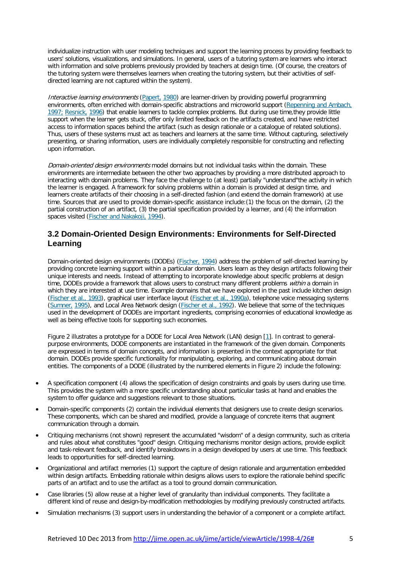individualize instruction with user modeling techniques and support the learning process by providing feedback to users' solutions, visualizations, and simulations. In general, users of a tutoring system are learners who interact with information and solve problems previously provided by teachers at design time. (Of course, the creators of the tutoring system were themselves learners when creating the tutoring system, but their activities of selfdirected learning are not captured within the system).

Interactive learning environments [\(Papert,](http://jime.open.ac.uk/jime/article/viewArticle/1998-4/26#PAPERT(1980)) 1980) are learner-driven by providing powerful programming environments, often enriched with domain-specific abstractions and microworld support [\(Repenning](http://jime.open.ac.uk/jime/article/viewArticle/1998-4/26#REPENNING+AMBACH(1997)) and Ambach, [1997;](http://jime.open.ac.uk/jime/article/viewArticle/1998-4/26#REPENNING+AMBACH(1997)) [Resnick,](http://jime.open.ac.uk/jime/article/viewArticle/1998-4/26#REPENNING+AMBACH(1997)) 1996) that enable learners to tackle complex problems. But during use time,they provide little support when the learner gets stuck, offer only limited feedback on the artifacts created, and have restricted access to information spaces behind the artifact (such as design rationale or a catalogue of related solutions). Thus, users of these systems must act as teachers and learners at the same time. Without capturing, selectively presenting, or sharing information, users are individually completely responsible for constructing and reflecting upon information.

Domain-oriented design environments model domains but not individual tasks within the domain. These environments are intermediate between the other two approaches by providing a more distributed approach to interacting with domain problems. They face the challenge to (at least) partially "understand"the activity in which the learner is engaged. A framework for solving problems within a domain is provided at design time, and learners create artifacts of their choosing in a self-directed fashion (and extend the domain framework) at use time. Sources that are used to provide domain-specific assistance include:(1) the focus on the domain, (2) the partial construction of an artifact, (3) the partial specification provided by a learner, and (4) the information spaces visited (Fischer and [Nakakoji,](http://jime.open.ac.uk/jime/article/viewArticle/1998-4/26#FISCHER+NAKAKOJI(1994)) 1994).

#### **3.2 Domain-Oriented Design Environments: Environments for Self-Directed Learning**

Domain-oriented design environments (DODEs) [\(Fischer,](http://jime.open.ac.uk/jime/article/viewArticle/1998-4/26#FISCHER(1994)) 1994) address the problem of self-directed learning by providing concrete learning support within a particular domain. Users learn as they design artifacts following their unique interests and needs. Instead of attempting to incorporate knowledge about specific problems at design time, DODEs provide a framework that allows users to construct many different problems within a domain in which they are interested at use time. Example domains that we have explored in the past include kitchen design [\(Fischer](http://jime.open.ac.uk/jime/article/viewArticle/1998-4/26#FISCHER+NAKAKOJI+OSTWALD+STAHL+SUMNER(1993)) et al., 1993), graphical user interface layout [\(Fischer](http://jime.open.ac.uk/jime/article/viewArticle/1998-4/26#FISCHER+GIRGENSOHN+LEMKE+MCCALL+MORCH(1990a)) et al., 1990a), telephone voice messaging systems [\(Sumner,](http://jime.open.ac.uk/jime/article/viewArticle/1998-4/26#SUMNER(1995)) 1995), and Local Area Network design [\(Fischer](http://jime.open.ac.uk/jime/article/viewArticle/1998-4/26#FISCHER+GRUDIN+LEMKE+MCCALL+OSTWALD+REEVES+SHIPMAN(1992)) et al., 1992). We believe that some of the techniques used in the development of DODEs are important ingredients, comprising economies of educational knowledge as well as being effective tools for supporting such economies.

Figure 2 illustrates a prototype for a DODE for Local Area Network (LAN) design [\[1\]](http://jime.open.ac.uk/jime/article/viewArticle/1998-4/26#footnote-1). In contrast to generalpurpose environments, DODE components are instantiated in the framework of the given domain. Components are expressed in terms of domain concepts, and information is presented in the context appropriate for that domain. DODEs provide specific functionality for manipulating, exploring, and communicating about domain entities. The components of a DODE (illustrated by the numbered elements in Figure 2) include the following:

- A specification component (4) allows the specification of design constraints and goals by users during use time. This provides the system with a more specific understanding about particular tasks at hand and enables the system to offer guidance and suggestions relevant to those situations.
- Domain-specific components (2) contain the individual elements that designers use to create design scenarios. These components, which can be shared and modified, provide a language of concrete items that augment communication through a domain.
- Critiquing mechanisms (not shown) represent the accumulated "wisdom" of a design community, such as criteria and rules about what constitutes "good" design. Critiquing mechanisms monitor design actions, provide explicit and task-relevant feedback, and identify breakdowns in a design developed by users at use time. This feedback leads to opportunities for self-directed learning.
- Organizational and artifact memories (1) support the capture of design rationale and argumentation embedded within design artifacts. Embedding rationale within designs allows users to explore the rationale behind specific parts of an artifact and to use the artifact as a tool to ground domain communication.
- Case libraries (5) allow reuse at a higher level of granularity than individual components. They facilitate a different kind of reuse and design-by-modification methodologies by modifying previously constructed artifacts.
- Simulation mechanisms (3) support users in understanding the behavior of a component or a complete artifact.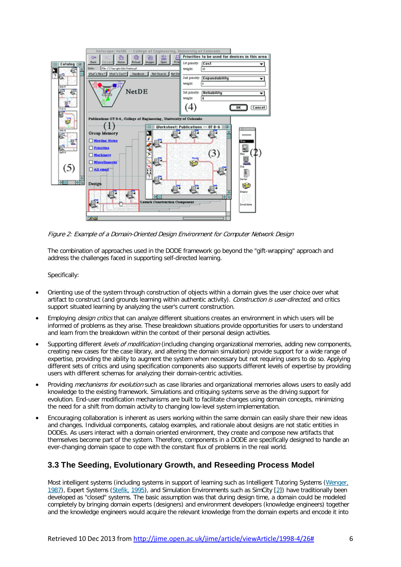

Figure 2: Example of <sup>a</sup> Domain-Oriented Design Environment for Computer Network Design

The combination of approaches used in the DODE framework go beyond the "gift-wrapping" approach and address the challenges faced in supporting self-directed learning.

Specifically:

- Orienting use of the system through construction of objects within a domain gives the user choice over what artifact to construct (and grounds learning within authentic activity). Construction is user-directed, and critics support situated learning by analyzing the user's current construction.
- Employing *design critics* that can analyze different situations creates an environment in which users will be informed of problems as they arise. These breakdown situations provide opportunities for users to understand and learn from the breakdown within the context of their personal design activities.
- Supporting different *levels of modification* (including changing organizational memories, adding new components, creating new cases for the case library, and altering the domain simulation) provide support for a wide range of expertise, providing the ability to augment the system when necessary but not requiring users to do so. Applying different sets of critics and using specification components also supports different levels of expertise by providing users with different schemas for analyzing their domain-centric activities.
- Providing mechanisms for evolution such as case libraries and organizational memories allows users to easily add knowledge to the existing framework. Simulations and critiquing systems serve as the driving support for evolution. End-user modification mechanisms are built to facilitate changes using domain concepts, minimizing the need for a shift from domain activity to changing low-level system implementation.
- Encouraging collaboration is inherent as users working within the same domain can easily share their new ideas and changes. Individual components, catalog examples, and rationale about designs are not static entities in DODEs. As users interact with a domain oriented environment, they create and compose new artifacts that themselves become part of the system. Therefore, components in a DODE are specifically designed to handle an ever-changing domain space to cope with the constant flux of problems in the real world.

#### **3.3 The Seeding, Evolutionary Growth, and Reseeding Process Model**

Most intelligent systems (including systems in support of learning such as Intelligent Tutoring Systems [\(Wenger,](http://jime.open.ac.uk/jime/article/viewArticle/1998-4/26#WENGER(1987)) [1987\)](http://jime.open.ac.uk/jime/article/viewArticle/1998-4/26#WENGER(1987)), Expert Systems [\(Stefik,](http://jime.open.ac.uk/jime/article/viewArticle/1998-4/26#STEFIK(1995)) 1995), and Simulation Environments such as SimCity [\[2\]](http://jime.open.ac.uk/jime/article/viewArticle/1998-4/26#footnote-2)) have traditionally been developed as "closed" systems. The basic assumption was that during design time, a domain could be modeled completely by bringing domain experts (designers) and environment developers (knowledge engineers) together and the knowledge engineers would acquire the relevant knowledge from the domain experts and encode it into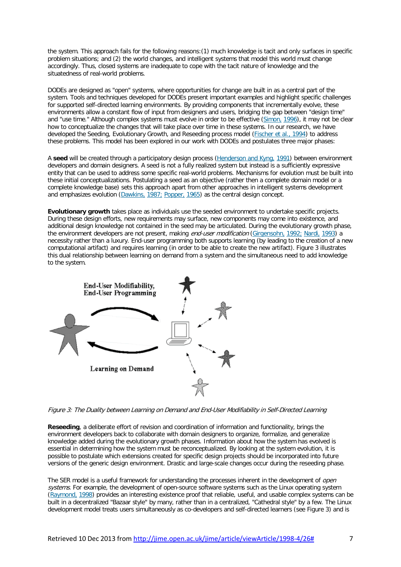the system. This approach fails for the following reasons:(1) much knowledge is tacit and only surfaces in specific problem situations; and (2) the world changes, and intelligent systems that model this world must change accordingly. Thus, closed systems are inadequate to cope with the tacit nature of knowledge and the situatedness of real-world problems.

DODEs are designed as "open" systems, where opportunities for change are built in as a central part of the system. Tools and techniques developed for DODEs present important examples and highlight specific challenges for supported self-directed learning environments. By providing components that incrementally evolve, these environments allow a constant flow of input from designers and users, bridging the gap between "design time" and "use time." Although complex systems must evolve in order to be effective [\(Simon,](http://jime.open.ac.uk/jime/article/viewArticle/1998-4/26#SIMON(1996)) 1996), it may not be clear how to conceptualize the changes that will take place over time in these systems. In our research, we have developed the Seeding, Evolutionary Growth, and Reseeding process model (*Fischer et al., 1994*) to address these problems. This model has been explored in our work with DODEs and postulates three major phases:

A **seed** will be created through a participatory design process [\(Henderson](http://jime.open.ac.uk/jime/article/viewArticle/1998-4/26#HENDERSON+KYNG(1991)) and Kyng, 1991) between environment developers and domain designers. A seed is not a fully realized system but instead is a sufficiently expressive entity that can be used to address some specific real-world problems. Mechanisms for evolution must be built into these initial conceptualizations. Postulating a seed as an objective (rather then a complete domain model or a complete knowledge base) sets this approach apart from other approaches in intelligent systems development and emphasizes evolution [\(Dawkins,](http://jime.open.ac.uk/jime/article/viewArticle/1998-4/26#DAWKINS(1987)) 1987; [Popper,](http://jime.open.ac.uk/jime/article/viewArticle/1998-4/26#DAWKINS(1987)) 1965) as the central design concept.

**Evolutionary growth** takes place as individuals use the seeded environment to undertake specific projects. During these design efforts, new requirements may surface, new components may come into existence, and additional design knowledge not contained in the seed may be articulated. During the evolutionary growth phase, the environment developers are not present, making *end-user modification* [\(Girgensohn,](http://jime.open.ac.uk/jime/article/viewArticle/1998-4/26#GIRGENSOHN(1992)) 1992; [Nardi,](http://jime.open.ac.uk/jime/article/viewArticle/1998-4/26#GIRGENSOHN(1992)) 1993) a necessity rather than a luxury. End-user programming both supports learning (by leading to the creation of a new computational artifact) and requires learning (in order to be able to create the new artifact). Figure 3 illustrates this dual relationship between learning on demand from a system and the simultaneous need to add knowledge to the system.



Figure 3: The Duality between Learning on Demand and End-User Modifiability in Self-Directed Learning

**Reseeding**, a deliberate effort of revision and coordination of information and functionality, brings the environment developers back to collaborate with domain designers to organize, formalize, and generalize knowledge added during the evolutionary growth phases. Information about how the system has evolved is essential in determining how the system must be reconceptualized. By looking at the system evolution, it is possible to postulate which extensions created for specific design projects should be incorporated into future versions of the generic design environment. Drastic and large-scale changes occur during the reseeding phase.

The SER model is a useful framework for understanding the processes inherent in the development of *open* systems. For example, the development of open-source software systems such as the Linux operating system [\(Raymond,](http://jime.open.ac.uk/jime/article/viewArticle/1998-4/26#RAYMOND(1998)) 1998) provides an interesting existence proof that reliable, useful, and usable complex systems can be built in a decentralized "Bazaar style" by many, rather than in a centralized, "Cathedral style" by a few. The Linux development model treats users simultaneously as co-developers and self-directed learners (see Figure 3) and is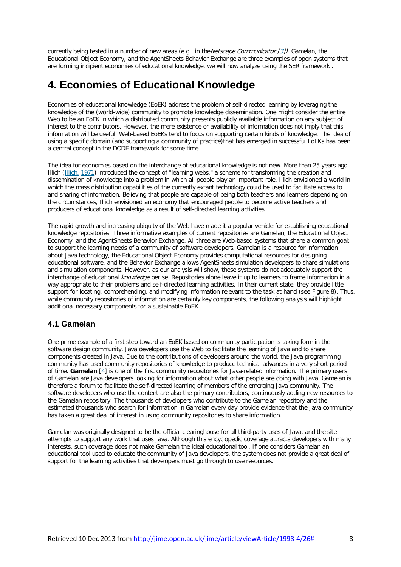currently being tested in a number of new areas (e.g., in the Netscape Communicator  $\binom{3}{2}$ ). Gamelan, the Educational Object Economy, and the AgentSheets Behavior Exchange are three examples of open systems that are forming incipient economies of educational knowledge, we will now analyze using the SER framework .

### **4. Economies of Educational Knowledge**

Economies of educational knowledge (EoEK) address the problem of self-directed learning by leveraging the knowledge of the (world-wide) community to promote knowledge dissemination. One might consider the entire Web to be an EoEK in which a distributed community presents publicly available information on any subject of interest to the contributors. However, the mere existence or availability of information does not imply that this information will be useful. Web-based EoEKs tend to focus on supporting certain kinds of knowledge. The idea of using a specific domain (and supporting a community of practice)that has emerged in successful EoEKs has been a central concept in the DODE framework for some time.

The idea for economies based on the interchange of educational knowledge is not new. More than 25 years ago, Illich [\(Illich,](http://jime.open.ac.uk/jime/article/viewArticle/1998-4/26#ILLICH(1971)) 1971) introduced the concept of "learning webs," a scheme for transforming the creation and dissemination of knowledge into a problem in which all people play an important role. Illich envisioned a world in which the mass distribution capabilities of the currently extant technology could be used to facilitate access to and sharing of information. Believing that people are capable of being both teachers and learners depending on the circumstances, Illich envisioned an economy that encouraged people to become active teachers and producers of educational knowledge as a result of self-directed learning activities.

The rapid growth and increasing ubiquity of the Web have made it a popular vehicle for establishing educational knowledge repositories. Three informative examples of current repositories are Gamelan, the Educational Object Economy, and the AgentSheets Behavior Exchange. All three are Web-based systems that share a common goal: to support the learning needs of a community of software developers. Gamelan is a resource for information about Java technology, the Educational Object Economy provides computational resources for designing educational software, and the Behavior Exchange allows AgentSheets simulation developers to share simulations and simulation components. However, as our analysis will show, these systems do not adequately support the interchange of educational *knowledge* per se. Repositories alone leave it up to learners to frame information in a way appropriate to their problems and self-directed learning activities. In their current state, they provide little support for locating, comprehending, and modifying information relevant to the task at hand (see Figure 8). Thus, while community repositories of information are certainly key components, the following analysis will highlight additional necessary components for a sustainable EoEK.

#### **4.1 Gamelan**

One prime example of a first step toward an EoEK based on community participation is taking form in the software design community. Java developers use the Web to facilitate the learning of Java and to share components created in Java. Due to the contributions of developers around the world, the Java programming community has used community repositories of knowledge to produce technical advances in a very short period of time. **Gamelan** [\[4\]](http://jime.open.ac.uk/jime/article/viewArticle/1998-4/26#footnote-4) is one of the first community repositories for Java-related information. The primary users of Gamelan are Java developers looking for information about what other people are doing with Java. Gamelan is therefore a forum to facilitate the self-directed learning of members of the emerging Java community. The software developers who use the content are also the primary contributors, continuously adding new resources to the Gamelan repository. The thousands of developers who contribute to the Gamelan repository and the estimated thousands who search for information in Gamelan every day provide evidence that the Java community has taken a great deal of interest in using community repositories to share information.

Gamelan was originally designed to be the official clearinghouse for all third-party uses of Java, and the site attempts to support any work that uses Java. Although this encyclopedic coverage attracts developers with many interests, such coverage does not make Gamelan the ideal educational tool. If one considers Gamelan an educational tool used to educate the community of Java developers, the system does not provide a great deal of support for the learning activities that developers must go through to use resources.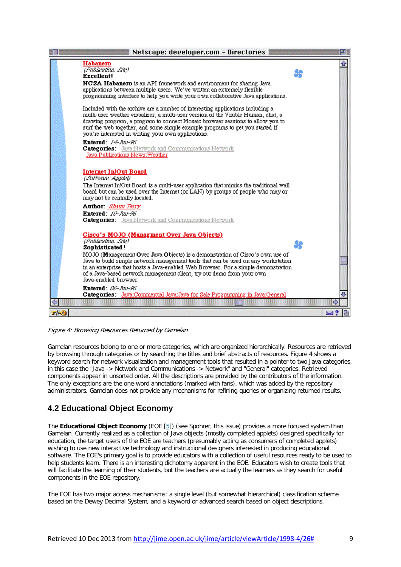|                  | Netscape: developer.com - Directories                                                                                                                                                                                                                                                                                                                                                        |                  |
|------------------|----------------------------------------------------------------------------------------------------------------------------------------------------------------------------------------------------------------------------------------------------------------------------------------------------------------------------------------------------------------------------------------------|------------------|
|                  | Habanero<br>(Publication: Site)<br>Excellent!<br><b>NCSA Habanero</b> is an API framework and environment for sharing Java<br>applications between multiple users. We've written an extremely flexible<br>programming interface to help you write your own collaborative Java applications.                                                                                                  | ⇧<br>Se          |
|                  | Included with the archive are a number of interesting applications including a<br>multi-user weather visualizer, a multi-user version of the Visible Human, chat, a<br>drawing program, a program to connect Mosaic browser sessions to allow you to<br>surf the web together, and some simple example programs to get you started if<br>you're interested in writing your own applications. |                  |
|                  | <b>Entered: 14-hm-96</b><br><b>Categories:</b> Java:Network and Communications:Network<br>Java:Publications:News:Weather                                                                                                                                                                                                                                                                     |                  |
|                  | Internet In/Out Board<br>(Sulware Applet)<br>The Internet In/Out Board is a multi-user application that mimics the traditional wall<br>board but can be used over the Internet (or LAN) by groups of people who may or<br>may not be centrally located.                                                                                                                                      |                  |
|                  | <b>Author:</b> Shaun Teny<br><b>Entered:</b> 10-Jun-96<br><b>Categories:</b> Java:Network and Communications:Network                                                                                                                                                                                                                                                                         |                  |
|                  | Cisco's MOJO (Managment Over Java Objects)<br>(Publication: Site)<br>Sophisticated!                                                                                                                                                                                                                                                                                                          | 90               |
|                  | MOJO (Management Over Java Objects) is a demonstration of Cisco's own use of<br>Java to build simple network management tools that can be used on any workstation.<br>in an enterprise that hosts a Java-enabled Web Browser. For a simple demonstration<br>of a Java-based network management client, try our demo from your own<br>Java-enabled browser.                                   |                  |
|                  | <b>Entered:</b> $186 - h m - 96$<br>Categories: Java:Commercial Java:Java for Sale:Programming in Java:General<br>шı                                                                                                                                                                                                                                                                         |                  |
| $T/ \mathbf{0} $ |                                                                                                                                                                                                                                                                                                                                                                                              | <b>M</b> ?<br>la |

Figure 4: Browsing Resources Returned by Gamelan

Gamelan resources belong to one or more categories, which are organized hierarchically. Resources are retrieved by browsing through categories or by searching the titles and brief abstracts of resources. Figure 4 shows a keyword search for network visualization and management tools that resulted in a pointer to two Java categories, in this case the "Java -> Network and Communications -> Network" and "General" categories. Retrieved components appear in unsorted order. All the descriptions are provided by the contributors of the information. The only exceptions are the one-word annotations (marked with fans), which was added by the repository administrators. Gamelan does not provide any mechanisms for refining queries or organizing returned results.

### **4.2 Educational Object Economy**

The **Educational Object Economy** (EOE [\[5\]](http://jime.open.ac.uk/jime/article/viewArticle/1998-4/26#footnote-5)) (see Spohrer, this issue) provides a more focused system than Gamelan. Currently realized as a collection of Java objects (mostly completed applets) designed specifically for education, the target users of the EOE are teachers (presumably acting as consumers of completed applets) wishing to use new interactive technology and instructional designers interested in producing educational software. The EOE's primary goal is to provide educators with a collection of useful resources ready to be used to help students learn. There is an interesting dichotomy apparent in the EOE. Educators wish to create tools that will facilitate the learning of their students, but the teachers are actually the learners as they search for useful components in the EOE repository.

The EOE has two major access mechanisms: a single level (but somewhat hierarchical) classification scheme based on the Dewey Decimal System, and a keyword or advanced search based on object descriptions.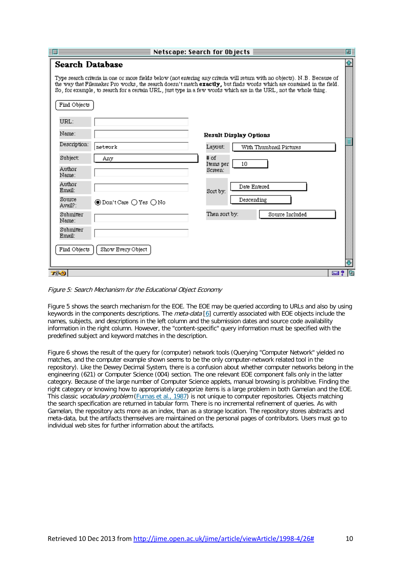| ≣<br>Netscape: Search for Objects<br>匪<br>П |                                                                                                                                                                                                                                                                                                                                                                         |  |  |  |
|---------------------------------------------|-------------------------------------------------------------------------------------------------------------------------------------------------------------------------------------------------------------------------------------------------------------------------------------------------------------------------------------------------------------------------|--|--|--|
| <b>Search Database</b><br>Find Objects      | Type search criteria in one or more fields below (not entering any criteria will return with no objects). N.B. Because of<br>the way that Filemaker Pro works, the search doesn't match exactly, but finds words which are contained in the field.<br>So, for example, to search for a certain URL, just type in a few words which are in the URL, not the whole thing. |  |  |  |
| URL:<br>Name:<br>Description:               | <b>Result Display Options</b><br>Layout:<br>With Thumbnail Pictures<br>network                                                                                                                                                                                                                                                                                          |  |  |  |
| Subject:<br>Author<br>Name:                 | # of<br>Any<br>10<br>Items per<br>Screen:                                                                                                                                                                                                                                                                                                                               |  |  |  |
| Author<br>Email:<br>Source<br>Avail?:       | Date Entered<br>Sort by:<br>Descending<br>◉Don't Care () Yes () No                                                                                                                                                                                                                                                                                                      |  |  |  |
| Submitter<br>Name:<br>Submitter<br>Email:   | Then sort by:<br>Source Included                                                                                                                                                                                                                                                                                                                                        |  |  |  |
| Find Objects<br>$T/ \mathbf{0} $            | Show Every Object<br>⊠ ?<br>lei                                                                                                                                                                                                                                                                                                                                         |  |  |  |

Figure 5: Search Mechanism for the Educational Object Economy

Figure 5 shows the search mechanism for the EOE. The EOE may be queried according to URLs and also by using keywords in the components descriptions. The *meta-data* [\[6\]](http://jime.open.ac.uk/jime/article/viewArticle/1998-4/26#footnote-6) currently associated with EOE objects include the names, subjects, and descriptions in the left column and the submission dates and source code availability information in the right column. However, the "content-specific" query information must be specified with the predefined subject and keyword matches in the description.

Figure 6 shows the result of the query for (computer) network tools (Querying "Computer Network" yielded no matches, and the computer example shown seems to be the only computer-network related tool in the repository). Like the Dewey Decimal System, there is a confusion about whether computer networks belong in the engineering (621) or Computer Science (004) section. The one relevant EOE component falls only in the latter category. Because of the large number of Computer Science applets, manual browsing is prohibitive. Finding the right category or knowing how to appropriately categorize items is a large problem in both Gamelan and the EOE. This classic *vocabulary problem* [\(Furnas](http://jime.open.ac.uk/jime/article/viewArticle/1998-4/26#FURNAS+LANDAUER+GOMEZ+DUMAIS(1987)) et al., 1987) is not unique to computer repositories. Objects matching the search specification are returned in tabular form. There is no incremental refinement of queries. As with Gamelan, the repository acts more as an index, than as a storage location. The repository stores abstracts and meta-data, but the artifacts themselves are maintained on the personal pages of contributors. Users must go to individual web sites for further information about the artifacts.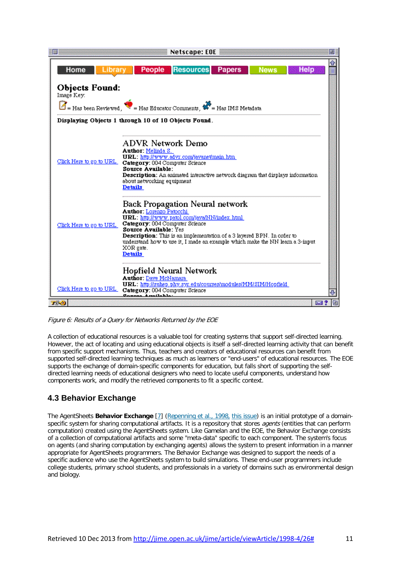

Figure 6: Results of <sup>a</sup> Query for Networks Returned by the EOE

A collection of educational resources is a valuable tool for creating systems that support self-directed learning. However, the act of locating and using educational objects is itself a self-directed learning activity that can benefit from specific support mechanisms. Thus, teachers and creators of educational resources can benefit from supported self-directed learning techniques as much as learners or "end-users" of educational resources. The EOE supports the exchange of domain-specific components for education, but falls short of supporting the selfdirected learning needs of educational designers who need to locate useful components, understand how components work, and modify the retrieved components to fit a specific context.

### **4.3 Behavior Exchange**

The AgentSheets **Behavior Exchange** [\[7\]](http://jime.open.ac.uk/jime/article/viewArticle/1998-4/26#footnote-7) [\(Repenning](http://jime.open.ac.uk/jime/article/viewArticle/1998-4/26#REPENNING+IOANNIDOU+AMBACH(1998)) et al., 1998, this issue) is an initial prototype of a domainspecific system for sharing computational artifacts. It is a repository that stores *agents* (entities that can perform computation) created using the AgentSheets system. Like Gamelan and the EOE, the Behavior Exchange consists of a collection of computational artifacts and some "meta-data" specific to each component. The system's focus on agents (and sharing computation by exchanging agents) allows the system to present information in a manner appropriate for AgentSheets programmers. The Behavior Exchange was designed to support the needs of a specific audience who use the AgentSheets system to build simulations. These end-user programmers include college students, primary school students, and professionals in a variety of domains such as environmental design and biology.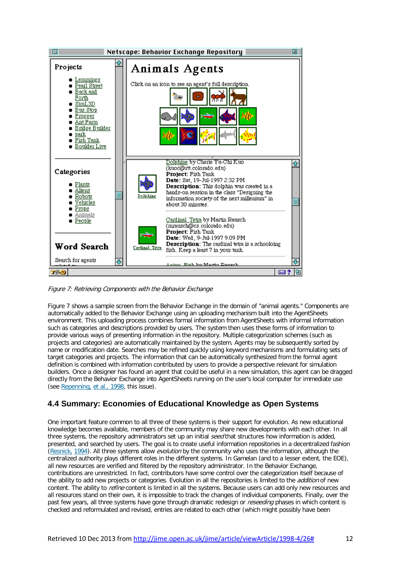

Figure 7: Retrieving Components with the Behavior Exchange

Figure 7 shows a sample screen from the Behavior Exchange in the domain of "animal agents." Components are automatically added to the Behavior Exchange using an uploading mechanism built into the AgentSheets environment. This uploading process combines formal information from AgentSheets with informal information such as categories and descriptions provided by users. The system then uses these forms of information to provide various ways of presenting information in the repository. Multiple categorization schemes (such as projects and categories) are automatically maintained by the system. Agents may be subsequently sorted by name or modification date. Searches may be refined quickly using keyword mechanisms and formulating sets of target categories and projects. The information that can be automatically synthesized from the formal agent definition is combined with information contributed by users to provide a perspective relevant for simulation builders. Once a designer has found an agent that could be useful in a new simulation, this agent can be dragged directly from the Behavior Exchange into AgentSheets running on the user's local computer for immediate use (see [Repenning,](http://jime.open.ac.uk/jime/article/viewArticle/1998-4/26#REPENNING+IOANNIDOU+AMBACH(1998)) et al., 1998, this issue).

### **4.4 Summary: Economies of Educational Knowledge as Open Systems**

One important feature common to all three of these systems is their support for evolution. As new educational knowledge becomes available, members of the community may share new developments with each other. In all three systems, the repository administrators set up an initial seed that structures how information is added, presented, and searched by users. The goal is to create useful information repositories in a decentralized fashion [\(Resnick,](http://jime.open.ac.uk/jime/article/viewArticle/1998-4/26#RESNICK(1994)) 1994). All three systems allow *evolution* by the community who uses the information, although the centralized authority plays different roles in the different systems. In Gamelan (and to a lesser extent, the EOE), all new resources are verified and filtered by the repository administrator. In the Behavior Exchange, contributions are unrestricted. In fact, contributors have some control over the categorization itself because of the ability to add new projects or categories. Evolution in all the repositories is limited to the *addition* of new content. The ability to *refine* content is limited in all the systems. Because users can add only new resources and all resources stand on their own, it is impossible to track the changes of individual components. Finally, over the past few years, all three systems have gone through dramatic redesign or *reseeding* phases in which content is checked and reformulated and revised, entries are related to each other (which might possibly have been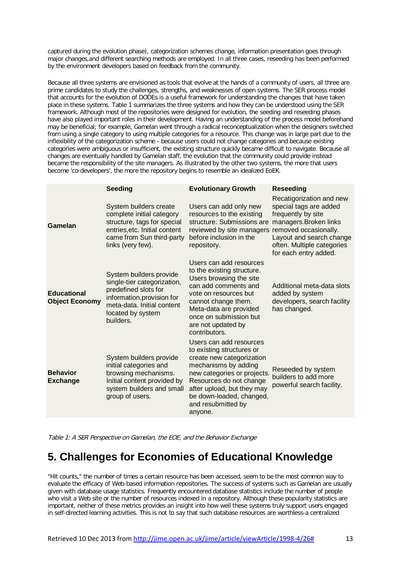captured during the evolution phase), categorization schemes change, information presentation goes through major changes,and different searching methods are employed. In all three cases, reseeding has been performed by the environment developers based on feedback from the community.

Because all three systems are envisioned as tools that evolve at the hands of a community of users, all three are prime candidates to study the challenges, strengths, and weaknesses of open systems. The SER process model that accounts for the evolution of DODEs is a useful framework for understanding the changes that have taken place in these systems. Table 1 summarizes the three systems and how they can be understood using the SER framework. Although most of the repositories were designed for evolution, the seeding and reseeding phases have also played important roles in their development. Having an understanding of the process model beforehand may be beneficial; for example, Gamelan went through a radical reconceptualization when the designers switched from using a single category to using multiple categories for a resource. This change was in large part due to the inflexibility of the categorization scheme - because users could not change categories and because existing categories were ambiguous or insufficient, the existing structure quickly became difficult to navigate. Because all changes are eventually handled by Gamelan staff, the evolution that the community could provide instead became the responsibility of the site managers. As illustrated by the other two systems, the more that users become 'co-developers', the more the repository begins to resemble an idealized EoEK.

|                                             | <b>Seeding</b>                                                                                                                                                               | <b>Evolutionary Growth</b>                                                                                                                                                                                                                                     | <b>Reseeding</b>                                                                                                                                                                      |
|---------------------------------------------|------------------------------------------------------------------------------------------------------------------------------------------------------------------------------|----------------------------------------------------------------------------------------------------------------------------------------------------------------------------------------------------------------------------------------------------------------|---------------------------------------------------------------------------------------------------------------------------------------------------------------------------------------|
| Gamelan                                     | System builders create<br>complete initial category<br>structure, tags for special<br>entries, etc. Initial content<br>came from Sun third-party<br>links (very few).        | Users can add only new<br>resources to the existing<br>structure. Submissions are<br>reviewed by site managers removed occasionally.<br>before inclusion in the<br>repository.                                                                                 | Recatigorization and new<br>special tags are added<br>frequently by site<br>managers. Broken links<br>Layout and search change<br>often. Multiple categories<br>for each entry added. |
| <b>Educational</b><br><b>Object Economy</b> | System builders provide<br>single-tier categorization,<br>predefined slots for<br>information, provision for<br>meta-data. Initial content<br>located by system<br>builders. | Users can add resources<br>to the existing structure.<br>Users browsing the site<br>can add comments and<br>vote on resources but<br>cannot change them.<br>Meta-data are provided<br>once on submission but<br>are not updated by<br>contributors.            | Additional meta-data slots<br>added by system<br>developers, search facility<br>has changed.                                                                                          |
| <b>Behavior</b><br><b>Exchange</b>          | System builders provide<br>initial categories and<br>browsing mechanisms.<br>Initial content provided by<br>system builders and small<br>group of users.                     | Users can add resources<br>to existing structures or<br>create new categorization<br>mechanisms by adding<br>new categories or projects.<br>Resources do not change<br>after upload, but they may<br>be down-loaded, changed,<br>and resubmitted by<br>anyone. | Reseeded by system<br>builders to add more<br>powerful search facility.                                                                                                               |

Table 1: A SER Perspective on Gamelan, the EOE, and the Behavior Exchange

### **5. Challenges for Economies of Educational Knowledge**

"Hit counts," the number of times a certain resource has been accessed, seem to be the most common way to evaluate the efficacy of Web-based information repositories. The success of systems such as Gamelan are usually given with database usage statistics. Frequently encountered database statistics include the number of people who visit a Web site or the number of resources indexed in a repository. Although these popularity statistics are important, neither of these metrics provides an insight into how well these systems truly support users engaged in self-directed learning activities. This is not to say that such database resources are worthless-a centralized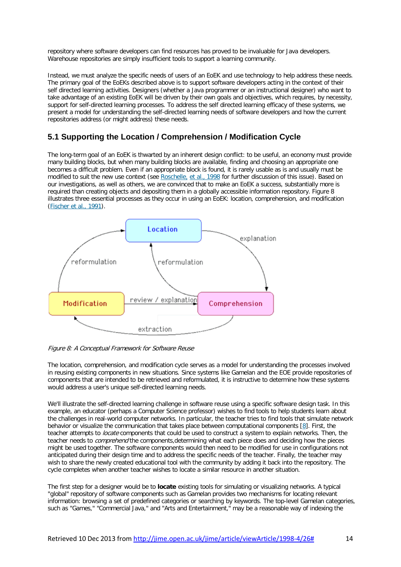repository where software developers can find resources has proved to be invaluable for Java developers. Warehouse repositories are simply insufficient tools to support a learning community.

Instead, we must analyze the specific needs of users of an EoEK and use technology to help address these needs. The primary goal of the EoEKs described above is to support software developers acting in the context of their self directed learning activities. Designers (whether a Java programmer or an instructional designer) who want to take advantage of an existing EoEK will be driven by their own goals and objectives, which requires, by necessity, support for self-directed learning processes. To address the self directed learning efficacy of these systems, we present a model for understanding the self-directed learning needs of software developers and how the current repositories address (or might address) these needs.

#### **5.1 Supporting the Location / Comprehension / Modification Cycle**

The long-term goal of an EoEK is thwarted by an inherent design conflict: to be useful, an economy must provide many building blocks, but when many building blocks are available, finding and choosing an appropriate one becomes a difficult problem. Even if an appropriate block is found, it is rarely usable as is and usually must be modified to suit the new use context (see [Roschelle,](http://jime.open.ac.uk/jime/article/viewArticle/1998-4/26#ROSCHELLE+KAPUT+STROUP+KAHN(1998)) et al., 1998 for further discussion of this issue). Based on our investigations, as well as others, we are convinced that to make an EoEK a success, substantially more is required than creating objects and depositing them in a globally accessible information repository. Figure 8 illustrates three essential processes as they occur in using an EoEK: location, comprehension, and modification [\(Fischer](http://jime.open.ac.uk/jime/article/viewArticle/1998-4/26#FISCHER+HENNINGER+REDMILES(1991)) et al., 1991).



Figure 8: A Conceptual Framework for Software Reuse

The location, comprehension, and modification cycle serves as a model for understanding the processes involved in reusing existing components in new situations. Since systems like Gamelan and the EOE provide repositories of components that are intended to be retrieved and reformulated, it is instructive to determine how these systems would address a user's unique self-directed learning needs.

We'll illustrate the self-directed learning challenge in software reuse using a specific software design task. In this example, an educator (perhaps a Computer Science professor) wishes to find tools to help students learn about the challenges in real-world computer networks. In particular, the teacher tries to find tools that simulate network behavior or visualize the communication that takes place between computational components [\[8\]](http://jime.open.ac.uk/jime/article/viewArticle/1998-4/26#footnote-8). First, the teacher attempts to *locate* components that could be used to construct a system to explain networks. Then, the teacher needs to *comprehend* the components, determining what each piece does and deciding how the pieces might be used together. The software components would then need to be modified for use in configurations not anticipated during their design time and to address the specific needs of the teacher. Finally, the teacher may wish to share the newly created educational tool with the community by adding it back into the repository. The cycle completes when another teacher wishes to locate a similar resource in another situation.

The first step for a designer would be to **locate** existing tools for simulating or visualizing networks. A typical "global" repository of software components such as Gamelan provides two mechanisms for locating relevant information: browsing a set of predefined categories or searching by keywords. The top-level Gamelan categories, such as "Games," "Commercial Java," and "Arts and Entertainment," may be a reasonable way of indexing the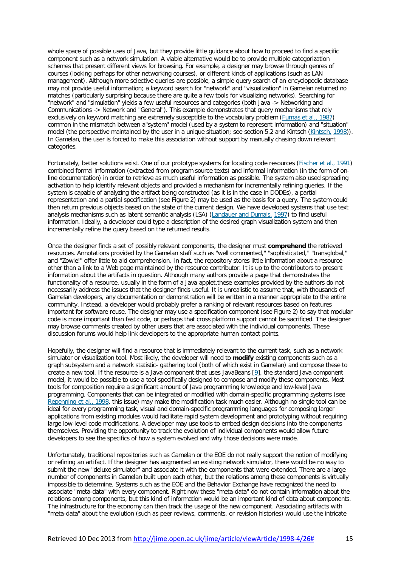whole space of possible uses of Java, but they provide little guidance about how to proceed to find a specific component such as a network simulation. A viable alternative would be to provide multiple categorization schemes that present different views for browsing. For example, a designer may browse through genres of courses (looking perhaps for other networking courses), or different kinds of applications (such as LAN management). Although more selective queries are possible, a simple query search of an encyclopedic database may not provide useful information; a keyword search for "network" and "visualization" in Gamelan returned no matches (particularly surprising because there are quite a few tools for visualizing networks). Searching for "network" and "simulation" yields a few useful resources and categories (both Java -> Networking and Communications -> Network and "General"). This example demonstrates that query mechanisms that rely exclusively on keyword matching are extremely susceptible to the vocabulary problem [\(Furnas](http://jime.open.ac.uk/jime/article/viewArticle/1998-4/26#FURNAS+LANDAUER+GOMEZ+DUMAIS(1987)) et al., 1987) common in the mismatch between a"system" model (used by a system to represent information) and "situation" model (the perspective maintained by the user in a unique situation; see section 5.2 and Kintsch [\(Kintsch,](http://jime.open.ac.uk/jime/article/viewArticle/1998-4/26#KINTSCH(1998)) 1998)). In Gamelan, the user is forced to make this association without support by manually chasing down relevant categories.

Fortunately, better solutions exist. One of our prototype systems for locating code resources [\(Fischer](http://jime.open.ac.uk/jime/article/viewArticle/1998-4/26#FISCHER+HENNINGER+REDMILES(1991)) et al., 1991) combined formal information (extracted from program source texts) and informal information (in the form of online documentation) in order to retrieve as much useful information as possible. The system also used spreading activation to help identify relevant objects and provided a mechanism for incrementally refining queries. If the system is capable of analyzing the artifact being constructed (as it is in the case in DODEs), a partial representation and a partial specification (see Figure 2) may be used as the basis for a query. The system could then return previous objects based on the state of the current design. We have developed systems that use text analysis mechanisms such as latent semantic analysis (LSA) [\(Landauer](http://jime.open.ac.uk/jime/article/viewArticle/1998-4/26#LANDAUER+DUMAIS(1997)) and Dumais, 1997) to find useful information. Ideally, a developer could type a description of the desired graph visualization system and then incrementally refine the query based on the returned results.

Once the designer finds a set of possibly relevant components, the designer must **comprehend** the retrieved resources. Annotations provided by the Gamelan staff such as "well commented," "sophisticated," "transglobal," and "Zowie!" offer little to aid comprehension. In fact, the repository stores little information about a resource other than a link to a Web page maintained by the resource contributor. It is up to the contributors to present information about the artifacts in question. Although many authors provide a page that demonstrates the functionality of a resource, usually in the form of a Java applet,these examples provided by the authors do not necessarily address the issues that the designer finds useful. It is unrealistic to assume that, with thousands of Gamelan developers, any documentation or demonstration will be written in a manner appropriate to the entire community. Instead, a developer would probably prefer a ranking of relevant resources based on features important for software reuse. The designer may use a specification component (see Figure 2) to say that modular code is more important than fast code, or perhaps that cross platform support cannot be sacrificed. The designer may browse comments created by other users that are associated with the individual components. These discussion forums would help link developers to the appropriate human contact points.

Hopefully, the designer will find a resource that is immediately relevant to the current task, such as a network simulator or visualization tool. Most likely, the developer will need to **modify** existing components such as a graph subsystem and a network statistic- gathering tool (both of which exist in Gamelan) and compose these to create a new tool. If the resource is a Java component that uses JavaBeans [\[9\]](http://jime.open.ac.uk/jime/article/viewArticle/1998-4/26#footnote-9), the standard Java component model, it would be possible to use a tool specifically designed to compose and modify these components. Most tools for composition require a significant amount of Java programming knowledge and low-level Java programming. Components that can be integrated or modified with domain-specific programming systems (see [Repenning](http://jime.open.ac.uk/jime/article/viewArticle/1998-4/26#REPENNING+IOANNIDOU+AMBACH(1998)) et al., 1998, this issue) may make the modification task much easier. Although no single tool can be ideal for every programming task, visual and domain-specific programming languages for composing larger applications from existing modules would facilitate rapid system development and prototyping without requiring large low-level code modifications. A developer may use tools to embed design decisions into the components themselves. Providing the opportunity to track the evolution of individual components would allow future developers to see the specifics of how a system evolved and why those decisions were made.

Unfortunately, traditional repositories such as Gamelan or the EOE do not really support the notion of modifying or refining an artifact. If the designer has augmented an existing network simulator, there would be no way to submit the new "deluxe simulator" and associate it with the components that were extended. There are a large number of components in Gamelan built upon each other, but the relations among these components is virtually impossible to determine. Systems such as the EOE and the Behavior Exchange have recognized the need to associate "meta-data" with every component. Right now these "meta-data" do not contain information about the relations among components, but this kind of information would be an important kind of data about components. The infrastructure for the economy can then track the usage of the new component. Associating artifacts with "meta-data" about the evolution (such as peer reviews, comments, or revision histories) would use the intricate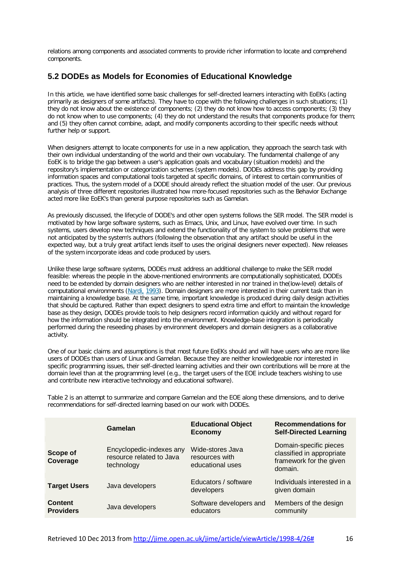relations among components and associated comments to provide richer information to locate and comprehend components.

#### **5.2 DODEs as Models for Economies of Educational Knowledge**

In this article, we have identified some basic challenges for self-directed learners interacting with EoEKs (acting primarily as designers of some artifacts). They have to cope with the following challenges in such situations; (1) they do not know about the existence of components; (2) they do not know how to access components; (3) they do not know when to use components; (4) they do not understand the results that components produce for them; and (5) they often cannot combine, adapt, and modify components according to their specific needs without further help or support.

When designers attempt to locate components for use in a new application, they approach the search task with their own individual understanding of the world and their own vocabulary. The fundamental challenge of any EoEK is to bridge the gap between a user's application goals and vocabulary (situation models) and the repository's implementation or categorization schemes (system models). DODEs address this gap by providing information spaces and computational tools targeted at specific domains, of interest to certain communities of practices. Thus, the system model of a DODE should already reflect the situation model of the user. Our previous analysis of three different repositories illustrated how more-focused repositories such as the Behavior Exchange acted more like EoEK's than general purpose repositories such as Gamelan.

As previously discussed, the lifecycle of DODE's and other open systems follows the SER model. The SER model is motivated by how large software systems, such as Emacs, Unix, and Linux, have evolved over time. In such systems, users develop new techniques and extend the functionality of the system to solve problems that were not anticipated by the system's authors (following the observation that any artifact should be useful in the expected way, but a truly great artifact lends itself to uses the original designers never expected). New releases of the system incorporate ideas and code produced by users.

Unlike these large software systems, DODEs must address an additional challenge to make the SER model feasible: whereas the people in the above-mentioned environments are computationally sophisticated, DODEs need to be extended by domain designers who are neither interested in nor trained in the(low-level) details of computational environments [\(Nardi,](http://jime.open.ac.uk/jime/article/viewArticle/1998-4/26#NARDI(1993)) 1993). Domain designers are more interested in their current task than in maintaining a knowledge base. At the same time, important knowledge is produced during daily design activities that should be captured. Rather than expect designers to spend extra time and effort to maintain the knowledge base as they design, DODEs provide tools to help designers record information quickly and without regard for how the information should be integrated into the environment. Knowledge-base integration is periodically performed during the reseeding phases by environment developers and domain designers as a collaborative activity.

One of our basic claims and assumptions is that most future EoEKs should and will have users who are more like users of DODEs than users of Linux and Gamelan. Because they are neither knowledgeable nor interested in specific programming issues, their self-directed learning activities and their own contributions will be more at the domain level than at the programming level (e.g., the target users of the EOE include teachers wishing to use and contribute new interactive technology and educational software).

Table 2 is an attempt to summarize and compare Gamelan and the EOE along these dimensions, and to derive recommendations for self-directed learning based on our work with DODEs.

|                                    | Gamelan                                                            | <b>Educational Object</b><br><b>Economy</b>            | <b>Recommendations for</b><br><b>Self-Directed Learning</b>                               |
|------------------------------------|--------------------------------------------------------------------|--------------------------------------------------------|-------------------------------------------------------------------------------------------|
| <b>Scope of</b><br>Coverage        | Encyclopedic-indexes any<br>resource related to Java<br>technology | Wide-stores Java<br>resources with<br>educational uses | Domain-specific pieces<br>classified in appropriate<br>framework for the given<br>domain. |
| <b>Target Users</b>                | Java developers                                                    | Educators / software<br>developers                     | Individuals interested in a<br>given domain                                               |
| <b>Content</b><br><b>Providers</b> | Java developers                                                    | Software developers and<br>educators                   | Members of the design<br>community                                                        |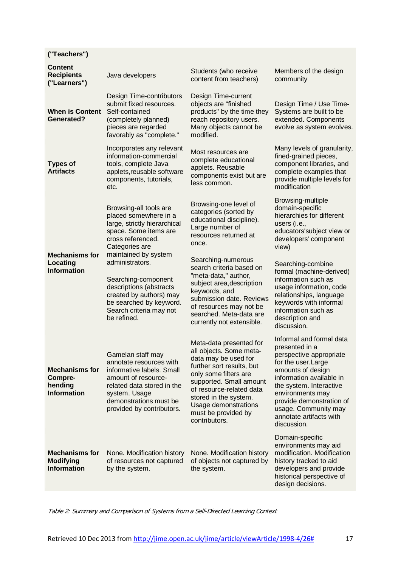| ("Teachers")                                                      |                                                                                                                                                                                                        |                                                                                                                                                                                                                                                                                  |                                                                                                                                                                                                                                                                                            |
|-------------------------------------------------------------------|--------------------------------------------------------------------------------------------------------------------------------------------------------------------------------------------------------|----------------------------------------------------------------------------------------------------------------------------------------------------------------------------------------------------------------------------------------------------------------------------------|--------------------------------------------------------------------------------------------------------------------------------------------------------------------------------------------------------------------------------------------------------------------------------------------|
| <b>Content</b><br><b>Recipients</b><br>("Learners")               | Java developers                                                                                                                                                                                        | Students (who receive<br>content from teachers)                                                                                                                                                                                                                                  | Members of the design<br>community                                                                                                                                                                                                                                                         |
| <b>When is Content</b><br><b>Generated?</b>                       | Design Time-contributors<br>submit fixed resources.<br>Self-contained<br>(completely planned)<br>pieces are regarded<br>favorably as "complete."                                                       | Design Time-current<br>objects are "finished<br>products" by the time they<br>reach repository users.<br>Many objects cannot be<br>modified.                                                                                                                                     | Design Time / Use Time-<br>Systems are built to be<br>extended. Components<br>evolve as system evolves.                                                                                                                                                                                    |
| <b>Types of</b><br><b>Artifacts</b>                               | Incorporates any relevant<br>information-commercial<br>tools, complete Java<br>applets, reusable software<br>components, tutorials,<br>etc.                                                            | Most resources are<br>complete educational<br>applets. Reusable<br>components exist but are<br>less common.                                                                                                                                                                      | Many levels of granularity,<br>fined-grained pieces,<br>component libraries, and<br>complete examples that<br>provide multiple levels for<br>modification                                                                                                                                  |
|                                                                   | Browsing-all tools are<br>placed somewhere in a<br>large, strictly hierarchical<br>space. Some items are<br>cross referenced.<br>Categories are                                                        | Browsing-one level of<br>categories (sorted by<br>educational discipline).<br>Large number of<br>resources returned at<br>once.                                                                                                                                                  | Browsing-multiple<br>domain-specific<br>hierarchies for different<br>users (i.e.,<br>educators'subject view or<br>developers' component<br>view)                                                                                                                                           |
| <b>Mechanisms for</b><br>Locating<br><b>Information</b>           | maintained by system<br>administrators.<br>Searching-component<br>descriptions (abstracts<br>created by authors) may<br>be searched by keyword.<br>Search criteria may not<br>be refined.              | Searching-numerous<br>search criteria based on<br>"meta-data," author,<br>subject area, description<br>keywords, and<br>submission date. Reviews<br>of resources may not be<br>searched. Meta-data are<br>currently not extensible.                                              | Searching-combine<br>formal (machine-derived)<br>information such as<br>usage information, code<br>relationships, language<br>keywords with informal<br>information such as<br>description and<br>discussion.                                                                              |
| <b>Mechanisms for</b><br>Compre-<br>hending<br><b>Information</b> | Gamelan staff may<br>annotate resources with<br>informative labels. Small<br>amount of resource-<br>related data stored in the<br>system. Usage<br>demonstrations must be<br>provided by contributors. | Meta-data presented for<br>all objects. Some meta-<br>data may be used for<br>further sort results, but<br>only some filters are<br>supported. Small amount<br>of resource-related data<br>stored in the system.<br>Usage demonstrations<br>must be provided by<br>contributors. | Informal and formal data<br>presented in a<br>perspective appropriate<br>for the user. Large<br>amounts of design<br>information available in<br>the system. Interactive<br>environments may<br>provide demonstration of<br>usage. Community may<br>annotate artifacts with<br>discussion. |
| <b>Mechanisms for</b><br><b>Modifying</b><br><b>Information</b>   | None. Modification history<br>of resources not captured<br>by the system.                                                                                                                              | None. Modification history<br>of objects not captured by<br>the system.                                                                                                                                                                                                          | Domain-specific<br>environments may aid<br>modification. Modification<br>history tracked to aid<br>developers and provide<br>historical perspective of<br>design decisions.                                                                                                                |

Table 2: Summary and Comparison of Systems from <sup>a</sup> Self-Directed Learning Context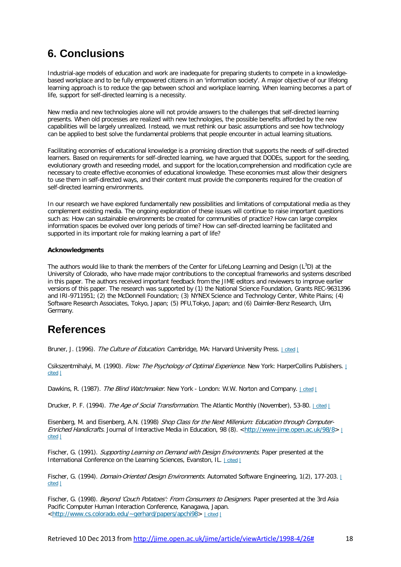### **6. Conclusions**

Industrial-age models of education and work are inadequate for preparing students to compete in a knowledgebased workplace and to be fully empowered citizens in an 'information society'. A major objective of our lifelong learning approach is to reduce the gap between school and workplace learning. When learning becomes a part of life, support for self-directed learning is a necessity.

New media and new technologies alone will not provide answers to the challenges that self-directed learning presents. When old processes are realized with new technologies, the possible benefits afforded by the new capabilities will be largely unrealized. Instead, we must rethink our basic assumptions and see how technology can be applied to best solve the fundamental problems that people encounter in actual learning situations.

Facilitating economies of educational knowledge is a promising direction that supports the needs of self-directed learners. Based on requirements for self-directed learning, we have argued that DODEs, support for the seeding, evolutionary growth and reseeding model, and support for the location,comprehension and modification cycle are necessary to create effective economies of educational knowledge. These economies must allow their designers to use them in self-directed ways, and their content must provide the components required for the creation of self-directed learning environments.

In our research we have explored fundamentally new possibilities and limitations of computational media as they complement existing media. The ongoing exploration of these issues will continue to raise important questions such as: How can sustainable environments be created for communities of practice? How can large complex information spaces be evolved over long periods of time? How can self-directed learning be facilitated and supported in its important role for making learning a part of life?

#### **Acknowledgments**

The authors would like to thank the members of the Center for LifeLong Learning and Design  $(L^3D)$  at the University of Colorado, who have made major contributions to the conceptual frameworks and systems described in this paper. The authors received important feedback from the JIME editors and reviewers to improve earlier versions of this paper. The research was supported by (1) the National Science Foundation, Grants REC-9631396 and IRI-9711951; (2) the McDonnell Foundation; (3) NYNEX Science and Technology Center, White Plains; (4) Software Research Associates, Tokyo, Japan; (5) PFU,Tokyo, Japan; and (6) Daimler-Benz Research, Ulm, Germany.

### **References**

Bruner, J. (1996). The Culture of Education. Cambridge, MA: Harvard University Press. Lotted L

Csikszentmihalyi, M. (1990). Flow: The Psychology of Optimal Experience. New York: HarperCollins Publishers. [|](http://jime.open.ac.uk/jime/article/viewArticle/1998-4/26#citation43) [cited](http://jime.open.ac.uk/jime/article/viewArticle/1998-4/26#citation43) |

Dawkins, R. (1987). The Blind Watchmaker. New York - London: W.W. Norton and Company. I [cited](http://jime.open.ac.uk/jime/article/viewArticle/1998-4/26#citation82) I

Drucker, P. F. (1994). The Age of Social Transformation. The Atlantic Monthly (November), 53-80. Leited L

Eisenberg, M. and Eisenberg, A.N. (1998) Shop Class for the Next Millenium: Education through Computer-Enriched Handicrafts. Journal of Interactive Media in Education, 98 (8). [<http://www-jime.open.ac.uk/98/8>](http://www-jime.open.ac.uk/98/8)  $\perp$ [cited](http://jime.open.ac.uk/jime/article/viewArticle/1998-4/26#citation17) |

Fischer, G. (1991). Supporting Learning on Demand with Design Environments. Paper presented at the International Conference on the Learning Sciences, Evanston, IL. Leited L

Fischer, G. (1994). *Domain-Oriented Design Environments*. Automated Software Engineering, 1(2), 177-203. [|](http://jime.open.ac.uk/jime/article/viewArticle/1998-4/26#citation61) [cited](http://jime.open.ac.uk/jime/article/viewArticle/1998-4/26#citation61) |

Fischer, G. (1998). Beyond 'Couch Potatoes': From Consumers to Designers. Paper presented at the 3rd Asia Pacific Computer Human Interaction Conference, Kanagawa, Japan. [<http://www.cs.colorado.edu/~gerhard/papers/apchi98>](http://www.cs.colorado.edu/~gerhard/papers/apchi98) | [cited](http://jime.open.ac.uk/jime/article/viewArticle/1998-4/26#citation14) |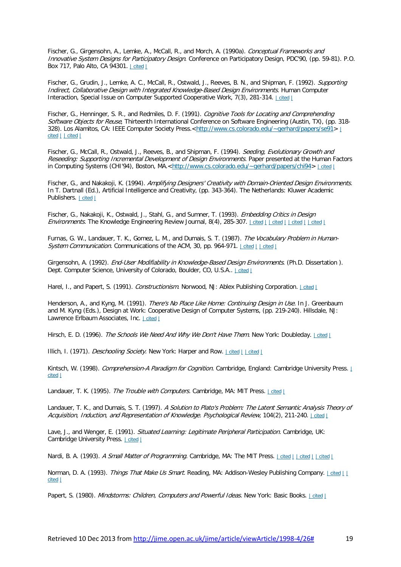Fischer, G., Girgensohn, A., Lemke, A., McCall, R., and Morch, A. (1990a). Conceptual Frameworks and Innovative System Designs for Participatory Design. Conference on Participatory Design, PDC'90, (pp. 59-81). P.O. Box 717, Palo Alto, CA 94301. | [cited](http://jime.open.ac.uk/jime/article/viewArticle/1998-4/26#citation67) |

Fischer, G., Grudin, J., Lemke, A. C., McCall, R., Ostwald, J., Reeves, B. N., and Shipman, F. (1992). Supporting Indirect, Collaborative Design with Integrated Knowledge-Based Design Environments. Human Computer Interaction, Special Issue on Computer Supported Cooperative Work, 7(3), 281-314. Leited L

Fischer, G., Henninger, S. R., and Redmiles, D. F. (1991). Cognitive Tools for Locating and Comprehending Software Objects for Reuse, Thirteenth International Conference on Software Engineering (Austin, TX), (pp. 318-328). Los Alamitos, CA: IEEE Computer Society Press.[<http://www.cs.colorado.edu/~gerhard/papers/se91>](http://www.cs.colorado.edu/~gerhard/papers/se91) [|](http://jime.open.ac.uk/jime/article/viewArticle/1998-4/26#citation103) [cited](http://jime.open.ac.uk/jime/article/viewArticle/1998-4/26#citation110) | | cited |

Fischer, G., McCall, R., Ostwald, J., Reeves, B., and Shipman, F. (1994). Seeding, Evolutionary Growth and Reseeding: Supporting Incremental Development of Design Environments. Paper presented at the Human Factors in Computing Systems (CHI'94), Boston, MA.[<http://www.cs.colorado.edu/~gerhard/papers/chi94>](http://www.cs.colorado.edu/~gerhard/papers/chi94) | [cited](http://jime.open.ac.uk/jime/article/viewArticle/1998-4/26#citation77) |

Fischer, G., and Nakakoji, K. (1994). Amplifying Designers' Creativity with Domain-Oriented Design Environments. In T. Dartnall (Ed.), Artificial Intelligence and Creativity, (pp. 343-364). The Netherlands: Kluwer Academic Publishers. Loited L

Fischer, G., Nakakoji, K., Ostwald, J., Stahl, G., and Sumner, T. (1993). Embedding Critics in Design Environments. The Knowledge Engineering Review Journal, 8(4), 285-307. | [cited](http://jime.open.ac.uk/jime/article/viewArticle/1998-4/26#citation66) | | cited | | cited | | cited |

Furnas, G. W., Landauer, T. K., Gomez, L. M., and Dumais, S. T. (1987). The Vocabulary Problem in Human-System Communication. Communications of the ACM, 30, pp. 964-971. Loited Lated L

Girgensohn, A. (1992). End-User Modifiability in Knowledge-Based Design Environments. (Ph.D. Dissertation). Dept. Computer Science, University of Colorado, Boulder, CO, U.S.A.. | [cited](http://jime.open.ac.uk/jime/article/viewArticle/1998-4/26#citation86) |

Harel, I., and Papert, S. (1991). Constructionism. Norwood, NJ: Ablex Publishing Corporation. | [cited](http://jime.open.ac.uk/jime/article/viewArticle/1998-4/26#citation13) |

Henderson, A., and Kyng, M. (1991). There's No Place Like Home: Continuing Design in Use. In J. Greenbaum and M. Kyng (Eds.), Design at Work: Cooperative Design of Computer Systems, (pp. 219-240). Hillsdale, NJ: Lawrence Erlbaum Associates, Inc. Leited L

Hirsch, E. D. (1996). The Schools We Need And Why We Don't Have Them. New York: Doubleday. | [cited](http://jime.open.ac.uk/jime/article/viewArticle/1998-4/26#citation41) |

Illich, I. (1971). *Deschooling Society*. New York: Harper and Row. | [cited](http://jime.open.ac.uk/jime/article/viewArticle/1998-4/26#citation91) | | cited |

Kintsch, W. (1998). Comprehension-A Paradigm for Cognition. Cambridge, England: Cambridge University Press. [|](http://jime.open.ac.uk/jime/article/viewArticle/1998-4/26#citation107) [cited](http://jime.open.ac.uk/jime/article/viewArticle/1998-4/26#citation107) |

Landauer, T. K. (1995). The Trouble with Computers. Cambridge, MA: MIT Press. Loited L

Landauer, T. K., and Dumais, S. T. (1997). A Solution to Plato's Problem: The Latent Semantic Analysis Theory of Acquisition, Induction, and Representation of Knowledge. Psychological Review, 104(2), 211-240. Leited L

Lave, J., and Wenger, E. (1991). Situated Learning: Legitimate Peripheral Participation. Cambridge, UK: Cambridge University Press. | [cited](http://jime.open.ac.uk/jime/article/viewArticle/1998-4/26#citation20) |

Nardi, B. A. (1993). A Small Matter of Programming. Cambridge, MA: The MIT Press. Lotted Lotted Lotted Lotted Lotted Lotted Lotted Lotted Lotted Lotted Lotted Lotted Lotted Lotted Lotted Lotted Lotted Lotted Lotted Lotted

Norman, D. A. (1993). Things That Make Us Smart. Reading, MA: Addison-Wesley Publishing Company. | [cited](http://jime.open.ac.uk/jime/article/viewArticle/1998-4/26#citation27) [|](http://jime.open.ac.uk/jime/article/viewArticle/1998-4/26#citation38) | [cited](http://jime.open.ac.uk/jime/article/viewArticle/1998-4/26#citation38) |

Papert, S. (1980). Mindstorms: Children, Computers and Powerful Ideas. New York: Basic Books. | [cited](http://jime.open.ac.uk/jime/article/viewArticle/1998-4/26#citation55) |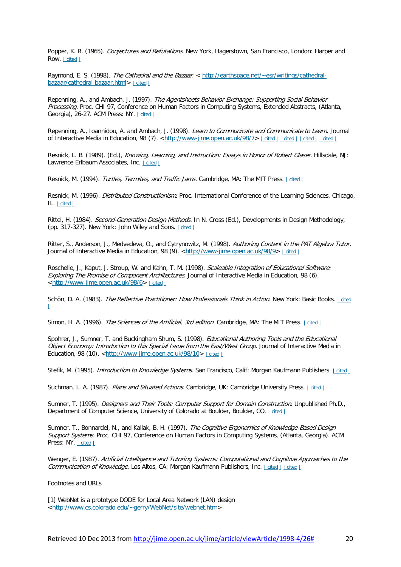Popper, K. R. (1965). Conjectures and Refutations. New York, Hagerstown, San Francisco, London: Harper and Row. Lited L

Raymond, E. S. (1998). The Cathedral and the Bazaar. < [http://earthspace.net/~esr/writings/cathedral](http://earthspace.net/~esr/writings/cathedral-bazaar/cathedral-bazaar.html)[bazaar/cathedral-bazaar.html>](http://earthspace.net/~esr/writings/cathedral-bazaar/cathedral-bazaar.html) | [cited](http://jime.open.ac.uk/jime/article/viewArticle/1998-4/26#citation89) |

Repenning, A., and Ambach, J. (1997). The Agentsheets Behavior Exchange: Supporting Social Behavior Processing. Proc. CHI 97, Conference on Human Factors in Computing Systems, Extended Abstracts, (Atlanta, Georgia), 26-27. ACM Press: NY. | [cited](http://jime.open.ac.uk/jime/article/viewArticle/1998-4/26#citation56) |

Repenning, A., Ioannidou, A. and Ambach, J. (1998). Learn to Communicate and Communicate to Learn. Journal of Interactive Media in Education, 98 (7). [<http://www-jime.open.ac.uk/98/7>](http://www-jime.open.ac.uk/98/7) | [cited](http://jime.open.ac.uk/jime/article/viewArticle/1998-4/26#citation113) | | cited | | cited | | cited | | cited |

Resnick, L. B. (1989). (Ed.), Knowing, Learning, and Instruction: Essays in Honor of Robert Glaser. Hillsdale, NJ: Lawrence Erlbaum Associates, Inc. | [cited](http://jime.open.ac.uk/jime/article/viewArticle/1998-4/26#citation7) |

Resnick, M. (1994). Turtles, Termites, and Traffic Jams. Cambridge, MA: The MIT Press. Leited L

Resnick, M. (1996). *Distributed Constructionism*. Proc. International Conference of the Learning Sciences, Chicago, IL. | [cited](http://jime.open.ac.uk/jime/article/viewArticle/1998-4/26#citation57) |

Rittel, H. (1984). Second-Generation Design Methods. In N. Cross (Ed.), Developments in Design Methodology, (pp. 317-327). New York: John Wiley and Sons. | [cited](http://jime.open.ac.uk/jime/article/viewArticle/1998-4/26#citation39) |

Ritter, S., Anderson, J., Medvedeva, O., and Cytrynowitz, M. (1998). Authoring Content in the PAT Algebra Tutor. Journal of Interactive Media in Education, 98 (9). [<http://www-jime.open.ac.uk/98/9>](http://www-jime.open.ac.uk/98/9) | [cited](http://jime.open.ac.uk/jime/article/viewArticle/1998-4/26#citation33) |

Roschelle, J., Kaput, J. Stroup, W. and Kahn, T. M. (1998). Scaleable Integration of Educational Software: Exploring The Promise of Component Architectures. Journal of Interactive Media in Education, 98 (6). [<http://www-jime.open.ac.uk/98/6>](http://www-jime.open.ac.uk/98/6) | [cited](http://jime.open.ac.uk/jime/article/viewArticle/1998-4/26#citation102) |

Schön, D. A. (1983). The Reflective Practitioner: How Professionals Think in Action. New York: Basic Books. I [cited](http://jime.open.ac.uk/jime/article/viewArticle/1998-4/26#citation26)  $\perp$ 

Simon, H. A. (1996). The Sciences of the Artificial, 3rd edition. Cambridge, MA: The MIT Press. | [cited](http://jime.open.ac.uk/jime/article/viewArticle/1998-4/26#citation76) |

Spohrer, J., Sumner, T. and Buckingham Shum, S. (1998). Educational Authoring Tools and the Educational Object Economy: Introduction to this Special Issue from the East/West Group. Journal of Interactive Media in Education, 98 (10). [<http://www-jime.open.ac.uk/98/10>](http://www-jime.open.ac.uk/98/10) | [cited](http://jime.open.ac.uk/jime/article/viewArticle/1998-4/26#citation5) |

Stefik, M. (1995). *Introduction to Knowledge Systems*. San Francisco, Calif: Morgan Kaufmann Publishers. | [cited](http://jime.open.ac.uk/jime/article/viewArticle/1998-4/26#citation73) |

Suchman, L. A. (1987). Plans and Situated Actions. Cambridge, UK: Cambridge University Press. | [cited](http://jime.open.ac.uk/jime/article/viewArticle/1998-4/26#citation21) |

Sumner, T. (1995). *Designers and Their Tools: Computer Support for Domain Construction*. Unpublished Ph.D., Department of Computer Science, University of Colorado at Boulder, Boulder, CO. | [cited](http://jime.open.ac.uk/jime/article/viewArticle/1998-4/26#citation68) |

Sumner, T., Bonnardel, N., and Kallak, B. H. (1997). The Cognitive Ergonomics of Knowledge-Based Design Support Systems. Proc. CHI 97, Conference on Human Factors in Computing Systems, (Atlanta, Georgia). ACM Press: NY. | [cited](http://jime.open.ac.uk/jime/article/viewArticle/1998-4/26#citation31) |

Wenger, E. (1987). Artificial Intelligence and Tutoring Systems: Computational and Cognitive Approaches to the Communication of Knowledge. Los Altos, CA: Morgan Kaufmann Publishers, Inc. Leited Leited L

Footnotes and URLs

[1] WebNet is a prototype DODE for Local Area Network (LAN) design [<http://www.cs.colorado.edu/~gerry/WebNet/site/webnet.htm>](http://www.cs.colorado.edu/~gerry/WebNet/site/webnet.htm)